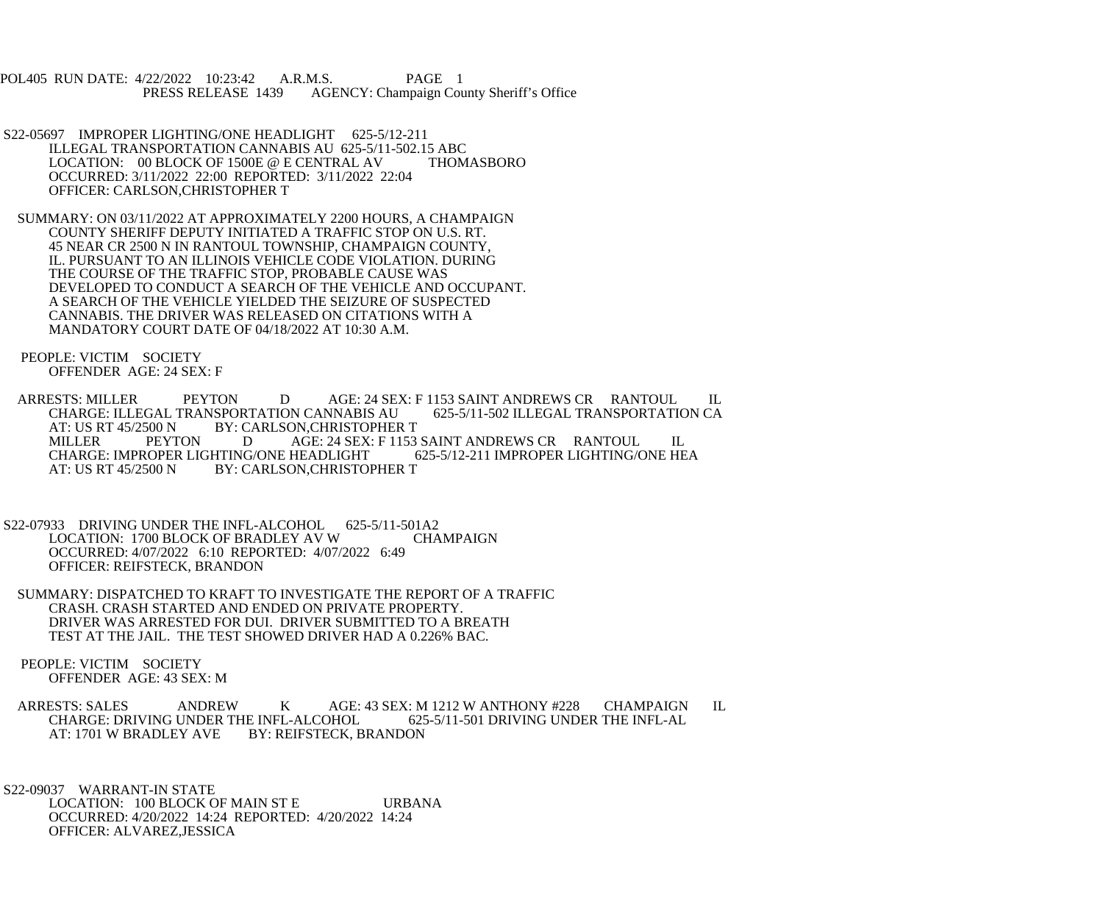POL405 RUN DATE: 4/22/2022 10:23:42 A.R.M.S. PAGE 1<br>PRESS RELEASE 1439 AGENCY: Champaign Cou AGENCY: Champaign County Sheriff's Office

- S22-05697 IMPROPER LIGHTING/ONE HEADLIGHT 625-5/12-211 ILLEGAL TRANSPORTATION CANNABIS AU 625-5/11-502.15 ABC<br>LOCATION: 00 BLOCK OF 1500E @ E CENTRAL AV THOMASBORO LOCATION: 00 BLOCK OF 1500E @ E CENTRAL AV OCCURRED: 3/11/2022 22:00 REPORTED: 3/11/2022 22:04 OFFICER: CARLSON,CHRISTOPHER T
- SUMMARY: ON 03/11/2022 AT APPROXIMATELY 2200 HOURS, A CHAMPAIGN COUNTY SHERIFF DEPUTY INITIATED A TRAFFIC STOP ON U.S. RT. 45 NEAR CR 2500 N IN RANTOUL TOWNSHIP, CHAMPAIGN COUNTY, IL. PURSUANT TO AN ILLINOIS VEHICLE CODE VIOLATION. DURING THE COURSE OF THE TRAFFIC STOP, PROBABLE CAUSE WAS DEVELOPED TO CONDUCT A SEARCH OF THE VEHICLE AND OCCUPANT. A SEARCH OF THE VEHICLE YIELDED THE SEIZURE OF SUSPECTED CANNABIS. THE DRIVER WAS RELEASED ON CITATIONS WITH A MANDATORY COURT DATE OF 04/18/2022 AT 10:30 A.M.
- PEOPLE: VICTIM SOCIETY OFFENDER AGE: 24 SEX: F
- ARRESTS: MILLER PEYTON DAGE: 24 SEX: F 1153 SAINT ANDREWS CR RANTOUL IL<br>CHARGE: ILLEGAL TRANSPORTATION CANNABIS AU 625-5/11-502 ILLEGAL TRANSPORTATION CA CHARGE: ILLEGAL TRANSPORTATION CANNABIS AU<br>AT: US RT 45/2500 N BY: CARLSON, CHRISTOPHER AT: US RT 45/2500 N BY: CARLSON, CHRISTOPHER T<br>MILLER PEYTON D AGE: 24 SEX: F 1153 AGE: 24 SEX: F 1153 SAINT ANDREWS CR RANTOUL IL<br>HEADLIGHT 625-5/12-211 IMPROPER LIGHTING/ONE HEA CHARGE: IMPROPER LIGHTING/ONE HEADLIGHT AT: US RT 45/2500 N BY: CARLSON,CHRISTOPHER T
- S22-07933 DRIVING UNDER THE INFL-ALCOHOL 625-5/11-501A2 LOCATION: 1700 BLOCK OF BRADLEY AV W CHAMPAIGN OCCURRED: 4/07/2022 6:10 REPORTED: 4/07/2022 6:49 OFFICER: REIFSTECK, BRANDON
- SUMMARY: DISPATCHED TO KRAFT TO INVESTIGATE THE REPORT OF A TRAFFIC CRASH. CRASH STARTED AND ENDED ON PRIVATE PROPERTY. DRIVER WAS ARRESTED FOR DUI. DRIVER SUBMITTED TO A BREATH TEST AT THE JAIL. THE TEST SHOWED DRIVER HAD A 0.226% BAC.
- PEOPLE: VICTIM SOCIETY OFFENDER AGE: 43 SEX: M
- ARRESTS: SALES ANDREW K AGE: 43 SEX: M 1212 W ANTHONY #228 CHAMPAIGN IL<br>CHARGE: DRIVING UNDER THE INFL-ALCOHOL 625-5/11-501 DRIVING UNDER THE INFL-AL CHARGE: DRIVING UNDER THE INFL-ALCOHOL AT: 1701 W BRADLEY AVE BY: REIFSTECK, BRANDON

 S22-09037 WARRANT-IN STATE LOCATION: 100 BLOCK OF MAIN ST E URBANA OCCURRED: 4/20/2022 14:24 REPORTED: 4/20/2022 14:24 OFFICER: ALVAREZ,JESSICA